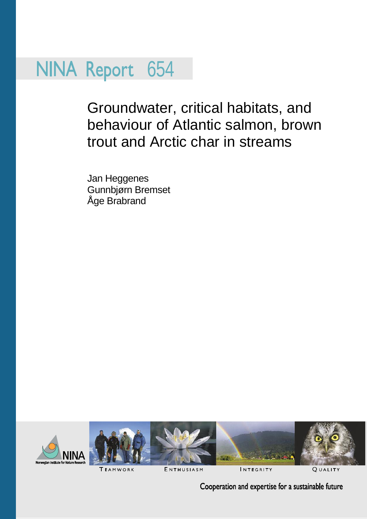## NINA Report 654

Groundwater, critical habitats, and behaviour of Atlantic salmon, brown trout and Arctic char in streams

Jan Heggenes Gunnbjørn Bremset Åge Brabrand





**TEAMWORK** 

ENTHUSIASM

INTEGRITY

**OUALITY** 

Cooperation and expertise for a sustainable future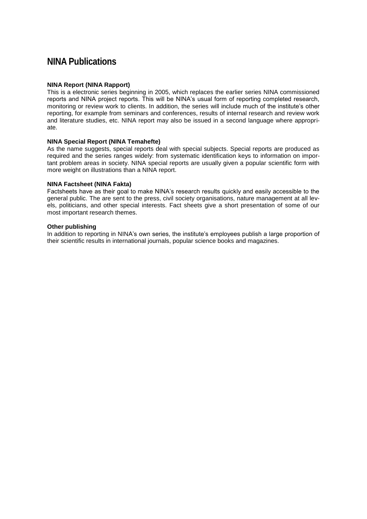#### **NINA Publications**

#### **NINA Report (NINA Rapport)**

This is a electronic series beginning in 2005, which replaces the earlier series NINA commissioned reports and NINA project reports. This will be NINA's usual form of reporting completed research, monitoring or review work to clients. In addition, the series will include much of the institute's other reporting, for example from seminars and conferences, results of internal research and review work and literature studies, etc. NINA report may also be issued in a second language where appropriate.

#### **NINA Special Report (NINA Temahefte)**

As the name suggests, special reports deal with special subjects. Special reports are produced as required and the series ranges widely: from systematic identification keys to information on important problem areas in society. NINA special reports are usually given a popular scientific form with more weight on illustrations than a NINA report.

#### **NINA Factsheet (NINA Fakta)**

Factsheets have as their goal to make NINA's research results quickly and easily accessible to the general public. The are sent to the press, civil society organisations, nature management at all levels, politicians, and other special interests. Fact sheets give a short presentation of some of our most important research themes.

#### **Other publishing**

In addition to reporting in NINA's own series, the institute's employees publish a large proportion of their scientific results in international journals, popular science books and magazines.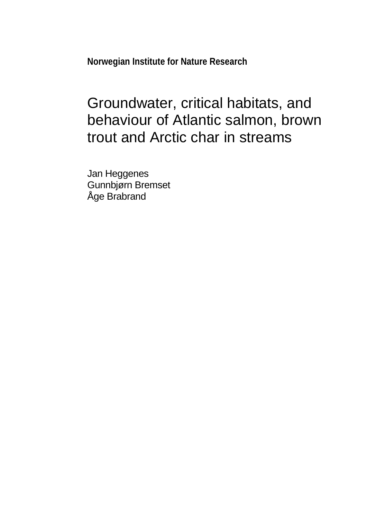**Norwegian Institute for Nature Research**

## Groundwater, critical habitats, and behaviour of Atlantic salmon, brown trout and Arctic char in streams

Jan Heggenes Gunnbjørn Bremset Åge Brabrand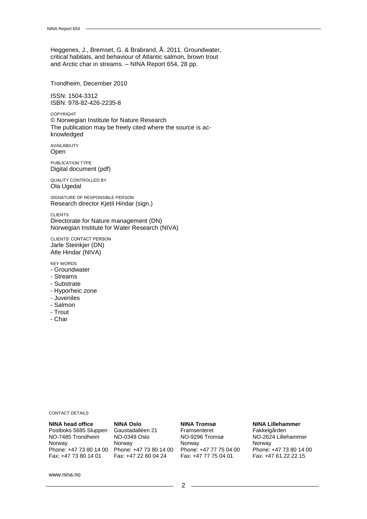Heggenes, J., Bremset, G. & Brabrand, Å. 2011. Groundwater, critical habitats, and behaviour of Atlantic salmon, brown trout and Arctic char in streams. – NINA Report 654, 28 pp.

Trondheim, December 2010

ISSN: 1504-3312 ISBN: 978-82-426-2235-8

COPYRIGHT © Norwegian Institute for Nature Research The publication may be freely cited where the source is acknowledged

AVAILABILITY Open

PUBLICATION TYPE Digital document (pdf)

QUALITY CONTROLLED BY Ola Ugedal

SIGNATURE OF RESPONSIBLE PERSON Research director Kjetil Hindar (sign.)

CLIENTS Directorate for Nature management (DN) Norwegian Institute for Water Research (NIVA)

CLIENTS' CONTACT PERSON Jarle Steinkjer (DN) Atle Hindar (NIVA)

KEY WORDS

- Groundwater
- Streams
- Substrate
- Hyporheic zone
- Juveniles
- Salmon
- Trout
- Char

#### CONTACT DETAILS

#### **NINA head office** Postboks 5685 Sluppen NO-7485 Trondheim Norway Phone: +47 73 80 14 00 Phone: +47 73 80 14 00 Fax: +47 73 80 14 01

**NINA Oslo** Gaustadalléen 21 NO-0349 Oslo Norway Fax: +47 22 60 04 24

#### **NINA Tromsø**

Framsenteret NO-9296 Tromsø Norway Phone: +47 77 75 04 00 Fax: +47 77 75 04 01

#### **NINA Lillehammer**

Fakkelgården NO-2624 Lillehammer Norway Phone: +47 73 80 14 00 Fax: +47 61 22 22 15

www.nina.no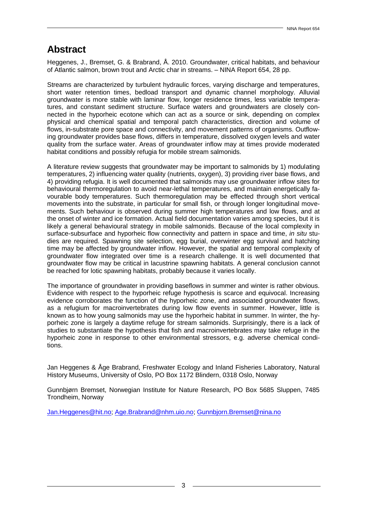#### **Abstract**

Heggenes, J., Bremset, G. & Brabrand, Å. 2010. Groundwater, critical habitats, and behaviour of Atlantic salmon, brown trout and Arctic char in streams. – NINA Report 654, 28 pp.

Streams are characterized by turbulent hydraulic forces, varying discharge and temperatures, short water retention times, bedload transport and dynamic channel morphology. Alluvial groundwater is more stable with laminar flow, longer residence times, less variable temperatures, and constant sediment structure. Surface waters and groundwaters are closely connected in the hyporheic ecotone which can act as a source or sink, depending on complex physical and chemical spatial and temporal patch characteristics, direction and volume of flows, in-substrate pore space and connectivity, and movement patterns of organisms. Outflowing groundwater provides base flows, differs in temperature, dissolved oxygen levels and water quality from the surface water. Areas of groundwater inflow may at times provide moderated habitat conditions and possibly refugia for mobile stream salmonids.

A literature review suggests that groundwater may be important to salmonids by 1) modulating temperatures, 2) influencing water quality (nutrients, oxygen), 3) providing river base flows, and 4) providing refugia. It is well documented that salmonids may use groundwater inflow sites for behavioural thermoregulation to avoid near-lethal temperatures, and maintain energetically favourable body temperatures. Such thermoregulation may be effected through short vertical movements into the substrate, in particular for small fish, or through longer longitudinal movements. Such behaviour is observed during summer high temperatures and low flows, and at the onset of winter and ice formation. Actual field documentation varies among species, but it is likely a general behavioural strategy in mobile salmonids. Because of the local complexity in surface-subsurface and hyporheic flow connectivity and pattern in space and time, *in situ* studies are required. Spawning site selection, egg burial, overwinter egg survival and hatching time may be affected by groundwater inflow. However, the spatial and temporal complexity of groundwater flow integrated over time is a research challenge. It is well documented that groundwater flow may be critical in lacustrine spawning habitats. A general conclusion cannot be reached for lotic spawning habitats, probably because it varies locally.

The importance of groundwater in providing baseflows in summer and winter is rather obvious. Evidence with respect to the hyporheic refuge hypothesis is scarce and equivocal. Increasing evidence corroborates the function of the hyporheic zone, and associated groundwater flows, as a refugium for macroinvertebrates during low flow events in summer. However, little is known as to how young salmonids may use the hyporheic habitat in summer. In winter, the hyporheic zone is largely a daytime refuge for stream salmonids. Surprisingly, there is a lack of studies to substantiate the hypothesis that fish and macroinvertebrates may take refuge in the hyporheic zone in response to other environmental stressors, e.g. adverse chemical conditions.

Jan Heggenes & Åge Brabrand, Freshwater Ecology and Inland Fisheries Laboratory, Natural History Museums, University of Oslo, PO Box 1172 Blindern, 0318 Oslo, Norway

Gunnbjørn Bremset, Norwegian Institute for Nature Research, PO Box 5685 Sluppen, 7485 Trondheim, Norway

[Jan.Heggenes@hit.no; Age.Brabrand@nhm.uio.no;](mailto:Gunnbjorn.Bremset@nina.no) Gunnbjorn.Bremset@nina.no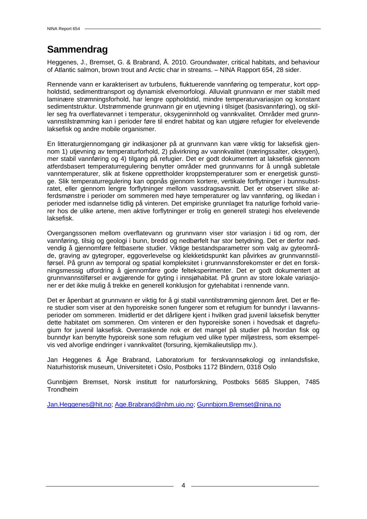### **Sammendrag**

Heggenes, J., Bremset, G. & Brabrand, Å. 2010. Groundwater, critical habitats, and behaviour of Atlantic salmon, brown trout and Arctic char in streams. – NINA Rapport 654, 28 sider.

Rennende vann er karakterisert av turbulens, fluktuerende vannføring og temperatur, kort oppholdstid, sedimenttransport og dynamisk elvemorfologi. Alluvialt grunnvann er mer stabilt med laminære strømningsforhold, har lengre oppholdstid, mindre temperaturvariasjon og konstant sedimentstruktur. Utstrømmende grunnvann gir en utjevning i tilsiget (basisvannføring), og skiller seg fra overflatevannet i temperatur, oksygeninnhold og vannkvalitet. Områder med grunnvannstilstrømming kan i perioder føre til endret habitat og kan utgjøre refugier for elvelevende laksefisk og andre mobile organismer.

En litteraturgjennomgang gir indikasjoner på at grunnvann kan være viktig for laksefisk gjennom 1) utjevning av temperaturforhold, 2) påvirkning av vannkvalitet (næringssalter, oksygen), mer stabil vannføring og 4) tilgang på refugier. Det er godt dokumentert at laksefisk gjennom atferdsbasert temperaturregulering benytter områder med grunnvanns for å unngå subletale vanntemperaturer, slik at fiskene opprettholder kroppstemperaturer som er energetisk gunstige. Slik temperaturregulering kan oppnås gjennom kortere, vertikale forflytninger i bunnsubstratet, eller gjennom lengre forflytninger mellom vassdragsavsnitt. Det er observert slike atferdsmønstre i perioder om sommeren med høye temperaturer og lav vannføring, og likedan i perioder med isdannelse tidlig på vinteren. Det empiriske grunnlaget fra naturlige forhold varierer hos de ulike artene, men aktive forflytninger er trolig en generell strategi hos elvelevende laksefisk.

Overgangssonen mellom overflatevann og grunnvann viser stor variasjon i tid og rom, der vannføring, tilsig og geologi i bunn, bredd og nedbørfelt har stor betydning. Det er derfor nødvendig å gjennomføre feltbaserte studier. Viktige bestandsparametrer som valg av gyteområde, graving av gytegroper, eggoverlevelse og klekketidspunkt kan påvirkes av grunnvannstilførsel. På grunn av temporal og spatial kompleksitet i grunnvannsforekomster er det en forskningsmessig utfordring å gjennomføre gode felteksperimenter. Det er godt dokumentert at grunnvannstilførsel er avgjørende for gyting i innsjøhabitat. På grunn av store lokale variasjoner er det ikke mulig å trekke en generell konklusjon for gytehabitat i rennende vann.

Det er åpenbart at grunnvann er viktig for å gi stabil vanntilstrømming gjennom året. Det er flere studier som viser at den hyporeiske sonen fungerer som et refugium for bunndyr i lavvannsperioder om sommeren. Imidlertid er det dårligere kjent i hvilken grad juvenil laksefisk benytter dette habitatet om sommeren. Om vinteren er den hyporeiske sonen i hovedsak et dagrefugium for juvenil laksefisk. Overraskende nok er det mangel på studier på hvordan fisk og bunndyr kan benytte hyporeisk sone som refugium ved ulike typer miljøstress, som eksempelvis ved alvorlige endringer i vannkvalitet (forsuring, kjemikalieutslipp mv.).

Jan Heggenes & Åge Brabrand, Laboratorium for ferskvannsøkologi og innlandsfiske, Naturhistorisk museum, Universitetet i Oslo, Postboks 1172 Blindern, 0318 Oslo

Gunnbjørn Bremset, Norsk institutt for naturforskning, Postboks 5685 Sluppen, 7485 Trondheim

[Jan.Heggenes@hit.no; Age.Brabrand@nhm.uio.no;](mailto:Gunnbjorn.Bremset@nina.no) Gunnbjorn.Bremset@nina.no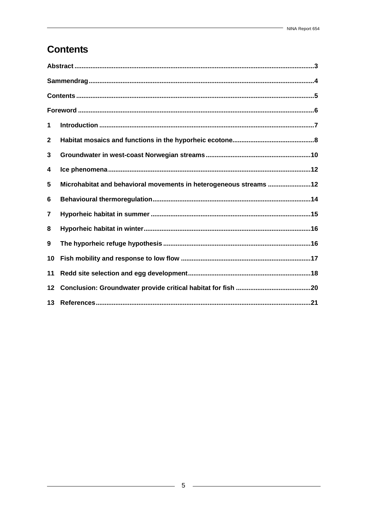### **Contents**

| 1            |                                                                   |
|--------------|-------------------------------------------------------------------|
| $\mathbf{2}$ |                                                                   |
| 3            |                                                                   |
| 4            |                                                                   |
| 5            | Microhabitat and behavioral movements in heterogeneous streams 12 |
| 6            |                                                                   |
| 7            |                                                                   |
| 8            |                                                                   |
| 9            |                                                                   |
| 10           |                                                                   |
| 11           |                                                                   |
| 12           |                                                                   |
|              |                                                                   |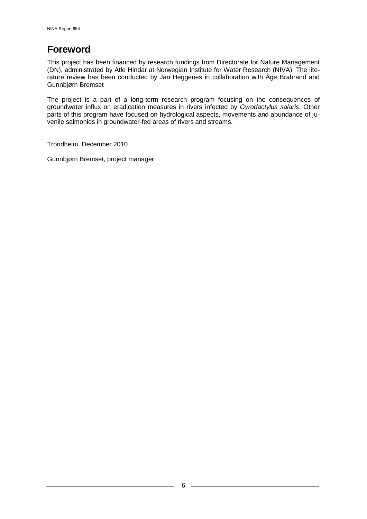### **Foreword**

This project has been financed by research fundings from Directorate for Nature Management (DN), administrated by Atle Hindar at Norwegian Institute for Water Research (NIVA). The literature review has been conducted by Jan Heggenes in collaboration with Åge Brabrand and Gunnbjørn Bremset

The project is a part of a long-term research program focusing on the consequences of groundwater influx on eradication measures in rivers infected by *Gyrodactylus salaris*. Other parts of this program have focused on hydrological aspects, movements and abundance of juvenile salmonids in groundwater-fed areas of rivers and streams.

Trondheim, December 2010

Gunnbjørn Bremset, project manager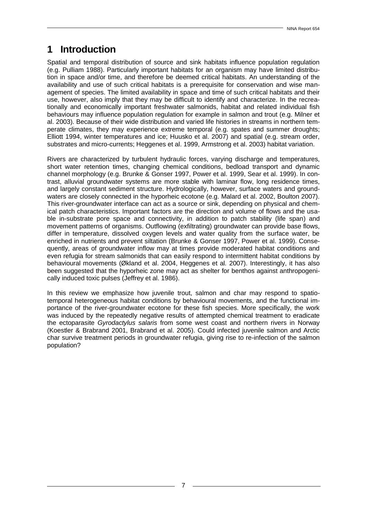### **1 Introduction**

Spatial and temporal distribution of source and sink habitats influence population regulation (e.g. Pulliam 1988). Particularly important habitats for an organism may have limited distribution in space and/or time, and therefore be deemed critical habitats. An understanding of the availability and use of such critical habitats is a prerequisite for conservation and wise management of species. The limited availability in space and time of such critical habitats and their use, however, also imply that they may be difficult to identify and characterize. In the recreationally and economically important freshwater salmonids, habitat and related individual fish behaviours may influence population regulation for example in salmon and trout (e.g. Milner et al. 2003). Because of their wide distribution and varied life histories in streams in northern temperate climates, they may experience extreme temporal (e.g. spates and summer droughts; Elliott 1994, winter temperatures and ice; Huusko et al. 2007) and spatial (e.g. stream order, substrates and micro-currents; Heggenes et al. 1999, Armstrong et al. 2003) habitat variation.

Rivers are characterized by turbulent hydraulic forces, varying discharge and temperatures, short water retention times, changing chemical conditions, bedload transport and dynamic channel morphology (e.g. Brunke & Gonser 1997, Power et al. 1999, Sear et al. 1999). In contrast, alluvial groundwater systems are more stable with laminar flow, long residence times, and largely constant sediment structure. Hydrologically, however, surface waters and groundwaters are closely connected in the hyporheic ecotone (e.g. Malard et al. 2002, Boulton 2007). This river-groundwater interface can act as a source or sink, depending on physical and chemical patch characteristics. Important factors are the direction and volume of flows and the usable in-substrate pore space and connectivity, in addition to patch stability (life span) and movement patterns of organisms. Outflowing (exfiltrating) groundwater can provide base flows, differ in temperature, dissolved oxygen levels and water quality from the surface water, be enriched in nutrients and prevent siltation (Brunke & Gonser 1997, Power et al. 1999). Consequently, areas of groundwater inflow may at times provide moderated habitat conditions and even refugia for stream salmonids that can easily respond to intermittent habitat conditions by behavioural movements (Økland et al. 2004, Heggenes et al*.* 2007). Interestingly, it has also been suggested that the hyporheic zone may act as shelter for benthos against anthropogenically induced toxic pulses (Jeffrey et al. 1986).

In this review we emphasize how juvenile trout, salmon and char may respond to spatiotemporal heterogeneous habitat conditions by behavioural movements, and the functional importance of the river-groundwater ecotone for these fish species. More specifically, the work was induced by the repeatedly negative results of attempted chemical treatment to eradicate the ectoparasite *Gyrodactylus salaris* from some west coast and northern rivers in Norway (Koestler & Brabrand 2001, Brabrand et al. 2005). Could infected juvenile salmon and Arctic char survive treatment periods in groundwater refugia, giving rise to re-infection of the salmon population?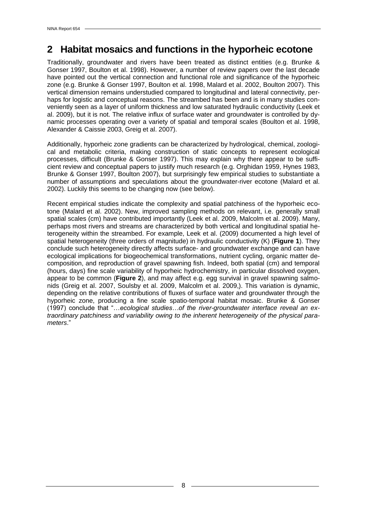#### **2 Habitat mosaics and functions in the hyporheic ecotone**

Traditionally, groundwater and rivers have been treated as distinct entities (e.g. Brunke & Gonser 1997, Boulton et al. 1998). However, a number of review papers over the last decade have pointed out the vertical connection and functional role and significance of the hyporheic zone (e.g. Brunke & Gonser 1997, Boulton et al. 1998, Malard et al. 2002, Boulton 2007). This vertical dimension remains understudied compared to longitudinal and lateral connectivity, perhaps for logistic and conceptual reasons. The streambed has been and is in many studies conveniently seen as a layer of uniform thickness and low saturated hydraulic conductivity (Leek et al. 2009), but it is not. The relative influx of surface water and groundwater is controlled by dynamic processes operating over a variety of spatial and temporal scales (Boulton et al. 1998, Alexander & Caissie 2003, Greig et al. 2007).

Additionally, hyporheic zone gradients can be characterized by hydrological, chemical, zoological and metabolic criteria, making construction of static concepts to represent ecological processes, difficult (Brunke & Gonser 1997). This may explain why there appear to be sufficient review and conceptual papers to justify much research (e.g. Orghidan 1959, Hynes 1983, Brunke & Gonser 1997, Boulton 2007), but surprisingly few empirical studies to substantiate a number of assumptions and speculations about the groundwater-river ecotone (Malard et al. 2002). Luckily this seems to be changing now (see below).

Recent empirical studies indicate the complexity and spatial patchiness of the hyporheic ecotone (Malard et al. 2002). New, improved sampling methods on relevant, i.e. generally small spatial scales (cm) have contributed importantly (Leek et al. 2009, Malcolm et al. 2009). Many, perhaps most rivers and streams are characterized by both vertical and longitudinal spatial heterogeneity within the streambed. For example, Leek et al. (2009) documented a high level of spatial heterogeneity (three orders of magnitude) in hydraulic conductivity (K) (**Figure 1**). They conclude such heterogeneity directly affects surface- and groundwater exchange and can have ecological implications for biogeochemical transformations, nutrient cycling, organic matter decomposition, and reproduction of gravel spawning fish. Indeed, both spatial (cm) and temporal (hours, days) fine scale variability of hyporheic hydrochemistry, in particular dissolved oxygen, appear to be common (**Figure 2**), and may affect e.g. egg survival in gravel spawning salmonids (Greig et al. 2007, Soulsby et al. 2009, Malcolm et al. 2009,). This variation is dynamic, depending on the relative contributions of fluxes of surface water and groundwater through the hyporheic zone, producing a fine scale spatio-temporal habitat mosaic. Brunke & Gonser (1997) conclude that "…*ecological studies…of the river-groundwater interface reveal an extraordinary patchiness and variability owing to the inherent heterogeneity of the physical parameters*."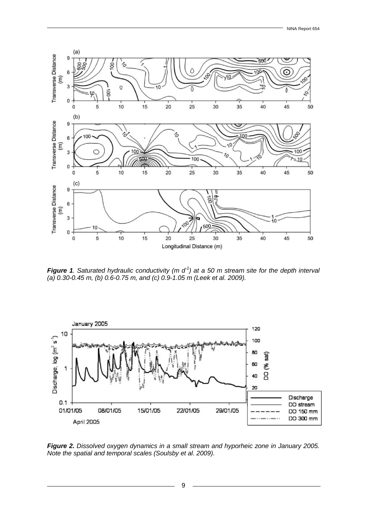

*Figure 1. Saturated hydraulic conductivity (m d<sup>-1</sup>) at a 50 m stream site for the depth interval (a) 0.30-0.45 m, (b) 0.6-0.75 m, and (c) 0.9-1.05 m (Leek et al. 2009).*



*Figure 2. Dissolved oxygen dynamics in a small stream and hyporheic zone in January 2005. Note the spatial and temporal scales (Soulsby et al. 2009).*

9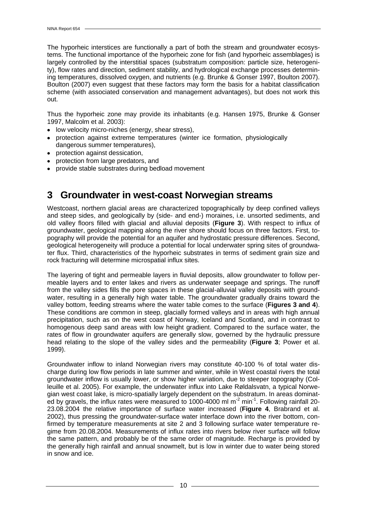The hyporheic interstices are functionally a part of both the stream and groundwater ecosystems. The functional importance of the hyporheic zone for fish (and hyporheic assemblages) is largely controlled by the interstitial spaces (substratum composition: particle size, heterogenity), flow rates and direction, sediment stability, and hydrological exchange processes determining temperatures, dissolved oxygen, and nutrients (e.g. Brunke & Gonser 1997, Boulton 2007). Boulton (2007) even suggest that these factors may form the basis for a habitat classification scheme (with associated conservation and management advantages), but does not work this out.

Thus the hyporheic zone may provide its inhabitants (e.g. Hansen 1975, Brunke & Gonser 1997, Malcolm et al. 2003):

- low velocity micro-niches (energy, shear stress),
- protection against extreme temperatures (winter ice formation, physiologically dangerous summer temperatures),
- protection against dessication,  $\bullet$
- protection from large predators, and
- provide stable substrates during bedload movement

#### **3 Groundwater in west-coast Norwegian streams**

Westcoast, northern glacial areas are characterized topographically by deep confined valleys and steep sides, and geologically by (side- and end-) moraines, i.e. unsorted sediments, and old valley floors filled with glacial and alluvial deposits (**Figure 3**). With respect to influx of groundwater, geological mapping along the river shore should focus on three factors. First, topography will provide the potential for an aquifer and hydrostatic pressure differences. Second, geological heterogeneity will produce a potential for local underwater spring sites of groundwater flux. Third, characteristics of the hyporheic substrates in terms of sediment grain size and rock fracturing will determine microspatial influx sites.

The layering of tight and permeable layers in fluvial deposits, allow groundwater to follow permeable layers and to enter lakes and rivers as underwater seepage and springs. The runoff from the valley sides fills the pore spaces in these glacial-alluvial valley deposits with groundwater, resulting in a generally high water table. The groundwater gradually drains toward the valley bottom, feeding streams where the water table comes to the surface (**Figures 3 and 4**). These conditions are common in steep, glacially formed valleys and in areas with high annual precipitation, such as on the west coast of Norway, Iceland and Scotland, and in contrast to homogenous deep sand areas with low height gradient. Compared to the surface water, the rates of flow in groundwater aquifers are generally slow, governed by the hydraulic pressure head relating to the slope of the valley sides and the permeability (**Figure 3**; Power et al. 1999).

Groundwater inflow to inland Norwegian rivers may constitute 40-100 % of total water discharge during low flow periods in late summer and winter, while in West coastal rivers the total groundwater inflow is usually lower, or show higher variation, due to steeper topography (Colleuille et al. 2005). For example, the underwater influx into Lake Røldalsvatn, a typical Norwegian west coast lake, is micro-spatially largely dependent on the substratum. In areas dominated by gravels, the influx rates were measured to 1000-4000 ml m<sup>-2</sup> min<sup>-1</sup>. Following rainfall 20-23.08.2004 the relative importance of surface water increased (**Figure 4**, Brabrand et al. 2002), thus pressing the groundwater-surface water interface down into the river bottom, confirmed by temperature measurements at site 2 and 3 following surface water temperature regime from 20.08.2004. Measurements of influx rates into rivers below river surface will follow the same pattern, and probably be of the same order of magnitude. Recharge is provided by the generally high rainfall and annual snowmelt, but is low in winter due to water being stored in snow and ice.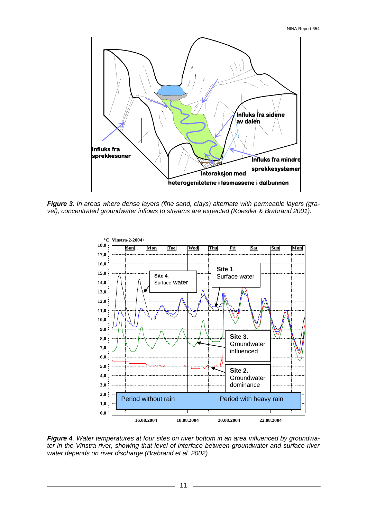

*Figure 3. In areas where dense layers (fine sand, clays) alternate with permeable layers (gravel), concentrated groundwater inflows to streams are expected (Koestler & Brabrand 2001).* 



*Figure 4. Water temperatures at four sites on river bottom in an area influenced by groundwater in the Vinstra river, showing that level of interface between groundwater and surface river water depends on river discharge (Brabrand et al. 2002).*

11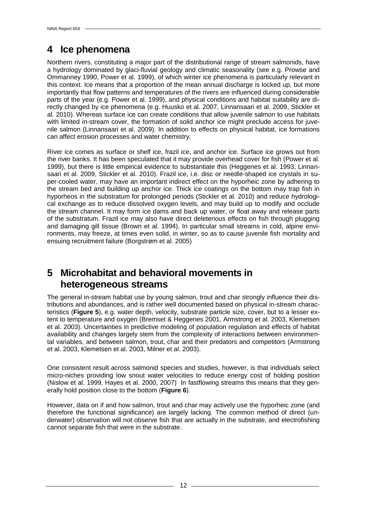### **4 Ice phenomena**

Northern rivers, constituting a major part of the distributional range of stream salmonids, have a hydrology dominated by glaci-fluvial geology and climatic seasonality (see e.g. Prowse and Ommanney 1990, Power et al. 1999), of which winter ice phenomena is particularly relevant in this context. Ice means that a proportion of the mean annual discharge is locked up, but more importantly that flow patterns and temperatures of the rivers are influenced during considerable parts of the year (e.g. Power et al. 1999), and physical conditions and habitat suitability are directly changed by ice phenomena (e.g. Huusko et al. 2007, Linnansaari et al. 2009, Stickler et al. 2010). Whereas surface ice can create conditions that allow juvenile salmon to use habitats with limited in-stream cover, the formation of solid anchor ice might preclude access for juvenile salmon (Linnansaari et al. 2009). In addition to effects on physical habitat, ice formations can affect erosion processes and water chemistry.

River ice comes as surface or shelf ice, frazil ice, and anchor ice. Surface ice grows out from the river banks. It has been speculated that it may provide overhead cover for fish (Power et al. 1999), but there is little empirical evidence to substantiate this (Heggenes et al. 1993, Linnansaari et al. 2009, Stickler et al. 2010). Frazil ice, i.e. disc or needle-shaped ice crystals in super-cooled water, may have an important indirect effect on the hyporheic zone by adhering to the stream bed and building up anchor ice. Thick ice coatings on the bottom may trap fish in hyporheos in the substratum for prolonged periods (Stickler et al. 2010) and reduce hydrological exchange as to reduce dissolved oxygen levels, and may build up to modify and occlude the stream channel. It may form ice dams and back up water, or float away and release parts of the substratum. Frazil ice may also have direct deleterious effects on fish through plugging and damaging gill tissue (Brown et al. 1994). In particular small streams in cold, alpine environments, may freeze, at times even solid, in winter, so as to cause juvenile fish mortality and ensuing recruitment failure (Borgstrøm et al. 2005)

#### **5 Microhabitat and behavioral movements in heterogeneous streams**

The general in-stream habitat use by young salmon, trout and char strongly influence their distributions and abundances, and is rather well documented based on physical in-stream characteristics (**Figure 5**), e.g. water depth, velocity, substrate particle size, cover, but to a lesser extent to temperature and oxygen (Bremset & Heggenes 2001, Armstrong et al. 2003, Klemetsen et al. 2003). Uncertainties in predictive modeling of population regulation and effects of habitat availability and changes largely stem from the complexity of interactions between environmental variables, and between salmon, trout, char and their predators and competitors (Armstrong et al. 2003, Klemetsen et al. 2003, Milner et al. 2003).

One consistent result across salmonid species and studies, however, is that individuals select micro-niches providing low snout water velocities to reduce energy cost of holding position (Nislow et al. 1999, Hayes et al. 2000, 2007) In fastflowing streams this means that they generally hold position close to the bottom (**Figure 6**).

However, data on if and how salmon, trout and char may actively use the hyporheic zone (and therefore the functional significance) are largely lacking. The common method of direct (underwater) observation will not observe fish that are actually in the substrate, and electrofishing cannot separate fish that were in the substrate.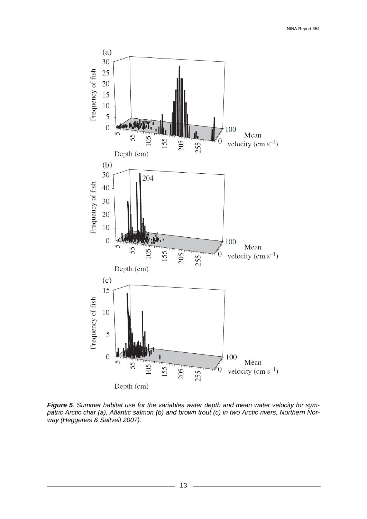

*Figure 5. Summer habitat use for the variables water depth and mean water velocity for sympatric Arctic char (a), Atlantic salmon (b) and brown trout (c) in two Arctic rivers, Northern Norway (Heggenes & Saltveit 2007).*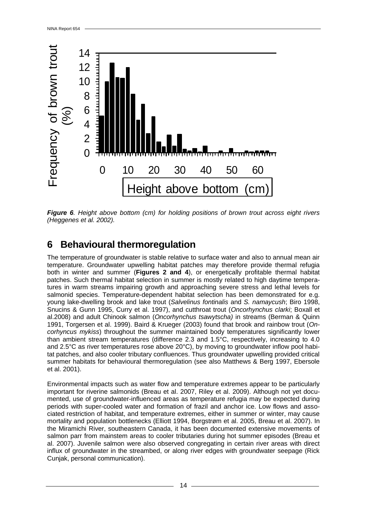

*Figure 6. Height above bottom (cm) for holding positions of brown trout across eight rivers (Heggenes et al. 2002).*

### **6 Behavioural thermoregulation**

The temperature of groundwater is stable relative to surface water and also to annual mean air temperature. Groundwater upwelling habitat patches may therefore provide thermal refugia both in winter and summer (**Figures 2 and 4**), or energetically profitable thermal habitat patches. Such thermal habitat selection in summer is mostly related to high daytime temperatures in warm streams impairing growth and approaching severe stress and lethal levels for salmonid species. Temperature-dependent habitat selection has been demonstrated for e.g. young lake-dwelling brook and lake trout (*Salvelinus fontinalis* and *S. namaycush*; Biro 1998, Snucins & Gunn 1995, Curry et al. 1997), and cutthroat trout (*Oncorhynchus clarki*; Boxall et al.2008) and adult Chinook salmon (*Oncorhynchus tsawytscha)* in streams (Berman & Quinn 1991, Torgersen et al. 1999). Baird & Krueger (2003) found that brook and rainbow trout (*Oncorhyncus mykiss*) throughout the summer maintained body temperatures significantly lower than ambient stream temperatures (difference 2.3 and 1.5°C, respectively, increasing to 4.0 and 2.5°C as river temperatures rose above 20°C), by moving to groundwater inflow pool habitat patches, and also cooler tributary confluences. Thus groundwater upwelling provided critical summer habitats for behavioural thermoregulation (see also Matthews & Berg 1997, Ebersole et al. 2001).

Environmental impacts such as water flow and temperature extremes appear to be particularly important for riverine salmonids (Breau et al. 2007, Riley et al. 2009). Although not yet documented, use of groundwater-influenced areas as temperature refugia may be expected during periods with super-cooled water and formation of frazil and anchor ice. Low flows and associated restriction of habitat, and temperature extremes, either in summer or winter, may cause mortality and population bottlenecks (Elliott 1994, Borgstrøm et al. 2005, Breau et al. 2007). In the Miramichi River, southeastern Canada, it has been documented extensive movements of salmon parr from mainstem areas to cooler tributaries during hot summer episodes (Breau et al. 2007). Juvenile salmon were also observed congregating in certain river areas with direct influx of groundwater in the streambed, or along river edges with groundwater seepage (Rick Cunjak, personal communication).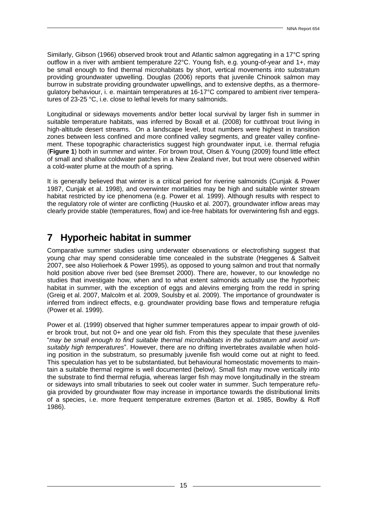Similarly, Gibson (1966) observed brook trout and Atlantic salmon aggregating in a 17°C spring outflow in a river with ambient temperature 22°C. Young fish, e.g. young-of-year and 1+, may be small enough to find thermal microhabitats by short, vertical movements into substratum providing groundwater upwelling. Douglas (2006) reports that juvenile Chinook salmon may burrow in substrate providing groundwater upwellings, and to extensive depths, as a thermoregulatory behaviour, i. e. maintain temperatures at 16-17°C compared to ambient river temperatures of 23-25 °C, i.e. close to lethal levels for many salmonids.

Longitudinal or sideways movements and/or better local survival by larger fish in summer in suitable temperature habitats, was inferred by Boxall et al. (2008) for cutthroat trout living in high-altitude desert streams. On a landscape level, trout numbers were highest in transition zones between less confined and more confined valley segments, and greater valley confinement. These topographic characteristics suggest high groundwater input, i.e. thermal refugia (**Figure 1**) both in summer and winter. For brown trout, Olsen & Young (2009) found little effect of small and shallow coldwater patches in a New Zealand river, but trout were observed within a cold-water plume at the mouth of a spring.

It is generally believed that winter is a critical period for riverine salmonids (Cunjak & Power 1987, Cunjak et al. 1998), and overwinter mortalities may be high and suitable winter stream habitat restricted by ice phenomena (e.g. Power et al. 1999). Although results with respect to the regulatory role of winter are conflicting (Huusko et al. 2007), groundwater inflow areas may clearly provide stable (temperatures, flow) and ice-free habitats for overwintering fish and eggs.

#### **7 Hyporheic habitat in summer**

Comparative summer studies using underwater observations or electrofishing suggest that young char may spend considerable time concealed in the substrate (Heggenes & Saltveit 2007, see also Holierhoek & Power 1995), as opposed to young salmon and trout that normally hold position above river bed (see Bremset 2000). There are, however, to our knowledge no studies that investigate how, when and to what extent salmonids actually use the hyporheic habitat in summer, with the exception of eggs and alevins emerging from the redd in spring (Greig et al. 2007, Malcolm et al. 2009, Soulsby et al. 2009). The importance of groundwater is inferred from indirect effects, e.g. groundwater providing base flows and temperature refugia (Power et al. 1999).

Power et al. (1999) observed that higher summer temperatures appear to impair growth of older brook trout, but not 0+ and one year old fish. From this they speculate that these juveniles "*may be small enough to find suitable thermal microhabitats in the substratum and avoid unsuitably high temperatures*". However, there are no drifting invertebrates available when holding position in the substratum, so presumably juvenile fish would come out at night to feed. This speculation has yet to be substantiated, but behavioural homeostatic movements to maintain a suitable thermal regime is well documented (below). Small fish may move vertically into the substrate to find thermal refugia, whereas larger fish may move longitudinally in the stream or sideways into small tributaries to seek out cooler water in summer. Such temperature refugia provided by groundwater flow may increase in importance towards the distributional limits of a species, i.e. more frequent temperature extremes (Barton et al. 1985, Bowlby & Roff 1986).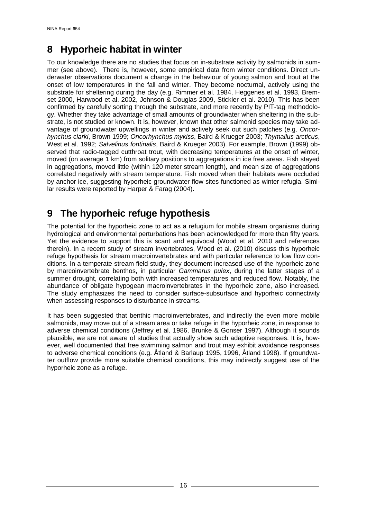### **8 Hyporheic habitat in winter**

To our knowledge there are no studies that focus on in-substrate activity by salmonids in summer (see above). There is, however, some empirical data from winter conditions. Direct underwater observations document a change in the behaviour of young salmon and trout at the onset of low temperatures in the fall and winter. They become nocturnal, actively using the substrate for sheltering during the day (e.g. Rimmer et al. 1984, Heggenes et al. 1993, Bremset 2000, Harwood et al. 2002, Johnson & Douglas 2009, Stickler et al. 2010). This has been confirmed by carefully sorting through the substrate, and more recently by PIT-tag methodology. Whether they take advantage of small amounts of groundwater when sheltering in the substrate, is not studied or known. It is, however, known that other salmonid species may take advantage of groundwater upwellings in winter and actively seek out such patches (e.g. *Oncorhynchus clarki*, Brown 1999; *Oncorhynchus mykiss*, Baird & Krueger 2003; *Thymallus arcticus*, West et al. 1992; *Salvelinus fontinalis*, Baird & Krueger 2003). For example, Brown (1999) observed that radio-tagged cutthroat trout, with decreasing temperatures at the onset of winter, moved (on average 1 km) from solitary positions to aggregations in ice free areas. Fish stayed in aggregations, moved little (within 120 meter stream length), and mean size of aggregations correlated negatively with stream temperature. Fish moved when their habitats were occluded by anchor ice, suggesting hyporheic groundwater flow sites functioned as winter refugia. Similar results were reported by Harper & Farag (2004).

#### **9 The hyporheic refuge hypothesis**

The potential for the hyporheic zone to act as a refugium for mobile stream organisms during hydrological and environmental perturbations has been acknowledged for more than fifty years. Yet the evidence to support this is scant and equivocal (Wood et al. 2010 and references therein). In a recent study of stream invertebrates, Wood et al. (2010) discuss this hyporheic refuge hypothesis for stream macroinvertebrates and with particular reference to low flow conditions. In a temperate stream field study, they document increased use of the hyporheic zone by marcoinvertebrate benthos, in particular *Gammarus pulex*, during the latter stages of a summer drought, correlating both with increased temperatures and reduced flow. Notably, the abundance of obligate hypogean macroinvertebrates in the hyporheic zone, also increased. The study emphasizes the need to consider surface-subsurface and hyporheic connectivity when assessing responses to disturbance in streams.

It has been suggested that benthic macroinvertebrates, and indirectly the even more mobile salmonids, may move out of a stream area or take refuge in the hyporheic zone, in response to adverse chemical conditions (Jeffrey et al. 1986, Brunke & Gonser 1997). Although it sounds plausible, we are not aware of studies that actually show such adaptive responses. It is, however, well documented that free swimming salmon and trout may exhibit avoidance responses to adverse chemical conditions (e.g. Åtland & Barlaup 1995, 1996, Åtland 1998). If groundwater outflow provide more suitable chemical conditions, this may indirectly suggest use of the hyporheic zone as a refuge.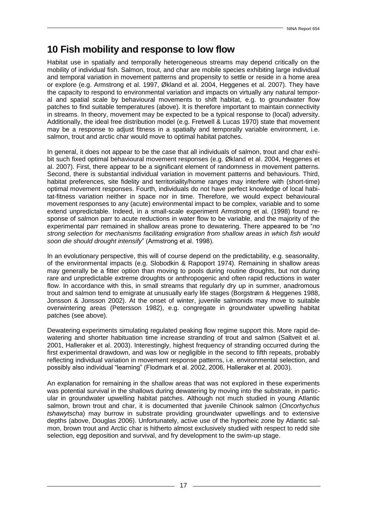#### **10 Fish mobility and response to low flow**

Habitat use in spatially and temporally heterogeneous streams may depend critically on the mobility of individual fish. Salmon, trout, and char are mobile species exhibiting large individual and temporal variation in movement patterns and propensity to settle or reside in a home area or explore (e.g. Armstrong et al. 1997, Økland et al. 2004, Heggenes et al. 2007). They have the capacity to respond to environmental variation and impacts on virtually any natural temporal and spatial scale by behavioural movements to shift habitat, e.g. to groundwater flow patches to find suitable temperatures (above). It is therefore important to maintain connectivity in streams. In theory, movement may be expected to be a typical response to (local) adversity. Additionally, the ideal free distribution model (e.g. Fretwell & Lucas 1970) state that movement may be a response to adjust fitness in a spatially and temporally variable environment, i.e. salmon, trout and arctic char would move to optimal habitat patches.

In general, it does not appear to be the case that all individuals of salmon, trout and char exhibit such fixed optimal behavioural movement responses (e.g. Økland et al. 2004, Heggenes et al. 2007). First, there appear to be a significant element of randomness in movement patterns. Second, there is substantial individual variation in movement patterns and behaviours. Third, habitat preferences, site fidelity and territoriality/home ranges may interfere with (short-time) optimal movement responses. Fourth, individuals do not have perfect knowledge of local habitat-fitness variation neither in space nor in time. Therefore, we would expect behavioural movement responses to any (acute) environmental impact to be complex, variable and to some extend unpredictable. Indeed, in a small-scale experiment Armstrong et al. (1998) found response of salmon parr to acute reductions in water flow to be variable, and the majority of the experimental parr remained in shallow areas prone to dewatering. There appeared to be "*no strong selection for mechanisms facilitating emigration from shallow areas in which fish would soon die should drought intensify*" (Armstrong et al. 1998).

In an evolutionary perspective, this will of course depend on the predictability, e.g. seasonality, of the environmental impacts (e.g. Slobodkin & Rapoport 1974). Remaining in shallow areas may generally be a fitter option than moving to pools during routine droughts, but not during rare and unpredictable extreme droughts or anthropogenic and often rapid reductions in water flow. In accordance with this, in small streams that regularly dry up in summer, anadromous trout and salmon tend to emigrate at unusually early life stages (Borgstrøm & Heggenes 1988, Jonsson & Jonsson 2002). At the onset of winter, juvenile salmonids may move to suitable overwintering areas (Petersson 1982), e.g. congregate in groundwater upwelling habitat patches (see above).

Dewatering experiments simulating regulated peaking flow regime support this. More rapid dewatering and shorter habituation time increase stranding of trout and salmon (Saltveit et al. 2001, Halleraker et al. 2003). Interestingly, highest frequency of stranding occurred during the first experimental drawdown, and was low or negligible in the second to fifth repeats, probably reflecting individual variation in movement response patterns, i.e. environmental selection, and possibly also individual "learning" (Flodmark et al. 2002, 2006, Halleraker et al. 2003).

An explanation for remaining in the shallow areas that was not explored in these experiments was potential survival in the shallows during dewatering by moving into the substrate, in particular in groundwater upwelling habitat patches. Although not much studied in young Atlantic salmon, brown trout and char, it is documented that juvenile Chinook salmon (*Oncorhychus tshawytscha*) may burrow in substrate providing groundwater upwellings and to extensive depths (above, Douglas 2006). Unfortunately, active use of the hyporheic zone by Atlantic salmon, brown trout and Arctic char is hitherto almost exclusively studied with respect to redd site selection, egg deposition and survival, and fry development to the swim-up stage.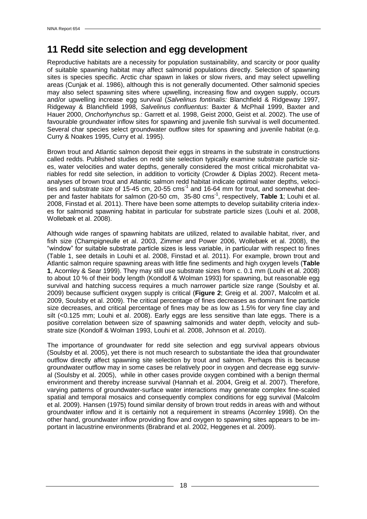#### **11 Redd site selection and egg development**

Reproductive habitats are a necessity for population sustainability, and scarcity or poor quality of suitable spawning habitat may affect salmonid populations directly. Selection of spawning sites is species specific. Arctic char spawn in lakes or slow rivers, and may select upwelling areas (Cunjak et al. 1986), although this is not generally documented. Other salmonid species may also select spawning sites where upwelling, increasing flow and oxygen supply, occurs and/or upwelling increase egg survival (*Salvelinus fontinalis:* Blanchfield & Ridgeway 1997, Ridgeway & Blanchfield 1998, *Salvelinus confluentus*: Baxter & McPhail 1999, Baxter and Hauer 2000, *Onchorhynchus* sp.: Garrett et al. 1998, Geist 2000, Geist et al. 2002). The use of favourable groundwater inflow sites for spawning and juvenile fish survival is well documented. Several char species select groundwater outflow sites for spawning and juvenile habitat (e.g. Curry & Noakes 1995, Curry et al. 1995).

Brown trout and Atlantic salmon deposit their eggs in streams in the substrate in constructions called redds. Published studies on redd site selection typically examine substrate particle sizes, water velocities and water depths, generally considered the most critical microhabitat variables for redd site selection, in addition to vorticity (Crowder & Diplas 2002). Recent metaanalyses of brown trout and Atlantic salmon redd habitat indicate optimal water depths, velocities and substrate size of 15-45 cm, 20-55  $\mathrm{cms}^1$  and 16-64 mm for trout, and somewhat deeper and faster habitats for salmon (20-50 cm, 35-80 cms-1 , respectively, **Table 1**; Louhi et al. 2008, Finstad et al. 2011). There have been some attempts to develop suitability criteria indexes for salmonid spawning habitat in particular for substrate particle sizes (Louhi et al. 2008, Wollebæk et al. 2008).

Although wide ranges of spawning habitats are utilized, related to available habitat, river, and fish size (Champigneulle et al. 2003, Zimmer and Power 2006, Wollebæk et al. 2008), the "window" for suitable substrate particle sizes is less variable, in particular with respect to fines (Table 1, see details in Louhi et al. 2008, Finstad et al. 2011). For example, brown trout and Atlantic salmon require spawning areas with little fine sediments and high oxygen levels (**Table 1**, Acornley & Sear 1999). They may still use substrate sizes from c. 0.1 mm (Louhi et al. 2008) to about 10 % of their body length (Kondolf & Wolman 1993) for spawning, but reasonable egg survival and hatching success requires a much narrower particle size range (Soulsby et al. 2009) because sufficient oxygen supply is critical (**Figure 2**; Greig et al. 2007, Malcolm et al. 2009, Soulsby et al. 2009). The critical percentage of fines decreases as dominant fine particle size decreases, and critical percentage of fines may be as low as 1.5% for very fine clay and silt (<0.125 mm; Louhi et al. 2008). Early eggs are less sensitive than late eggs. There is a positive correlation between size of spawning salmonids and water depth, velocity and substrate size (Kondolf & Wolman 1993, Louhi et al. 2008, Johnson et al. 2010).

The importance of groundwater for redd site selection and egg survival appears obvious (Soulsby et al. 2005), yet there is not much research to substantiate the idea that groundwater outflow directly affect spawning site selection by trout and salmon. Perhaps this is because groundwater outflow may in some cases be relatively poor in oxygen and decrease egg survival (Soulsby et al. 2005), while in other cases provide oxygen combined with a benign thermal environment and thereby increase survival (Hannah et al. 2004, Greig et al. 2007). Therefore, varying patterns of groundwater-surface water interactions may generate complex fine-scaled spatial and temporal mosaics and consequently complex conditions for egg survival (Malcolm et al. 2009). Hansen (1975) found similar density of brown trout redds in areas with and without groundwater inflow and it is certainly not a requirement in streams (Acornley 1998). On the other hand, groundwater inflow providing flow and oxygen to spawning sites appears to be important in lacustrine environments (Brabrand et al. 2002, Heggenes et al. 2009).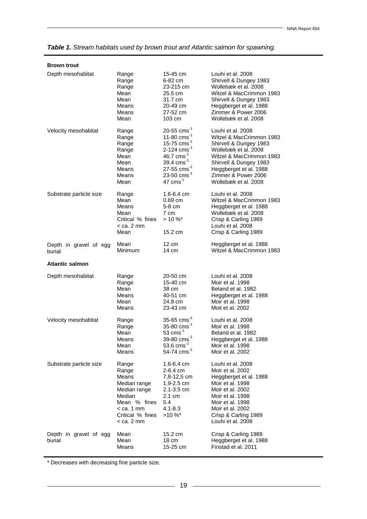| <b>Brown trout</b>      |                                                                                                                                     |                                                                                                                      |                                                                                                                                                                                                                  |  |  |
|-------------------------|-------------------------------------------------------------------------------------------------------------------------------------|----------------------------------------------------------------------------------------------------------------------|------------------------------------------------------------------------------------------------------------------------------------------------------------------------------------------------------------------|--|--|
| Depth mesohabitat       | Range                                                                                                                               | 15-45 cm                                                                                                             | Louhi et al. 2008                                                                                                                                                                                                |  |  |
|                         | Range                                                                                                                               | 6-82 cm                                                                                                              | Shirvell & Dungey 1983                                                                                                                                                                                           |  |  |
|                         | Range                                                                                                                               | 23-215 cm                                                                                                            | Wollebæk et al. 2008                                                                                                                                                                                             |  |  |
|                         | Mean                                                                                                                                | 25.5 cm                                                                                                              | Witzel & MacCrimmon 1983                                                                                                                                                                                         |  |  |
|                         | Mean                                                                                                                                | 31.7 cm                                                                                                              | Shirvell & Dungey 1983                                                                                                                                                                                           |  |  |
|                         | Means                                                                                                                               | 20-49 cm                                                                                                             | Heggberget et al. 1988                                                                                                                                                                                           |  |  |
|                         | Means                                                                                                                               | 27-52 cm                                                                                                             | Zimmer & Power 2006                                                                                                                                                                                              |  |  |
|                         | Mean                                                                                                                                | 103 cm                                                                                                               | Wollebæk et al. 2008                                                                                                                                                                                             |  |  |
| Velocity mesohabitat    | Range                                                                                                                               | 20-55 $\text{cms}^{-1}$                                                                                              | Louhi et al. 2008                                                                                                                                                                                                |  |  |
|                         | Range                                                                                                                               | 11-80 $\text{cms}^{-1}$                                                                                              | Witzel & MacCrimmon 1983                                                                                                                                                                                         |  |  |
|                         | Range                                                                                                                               | 15-75 $\text{cms}^{-1}$                                                                                              | Shirvell & Dungey 1983                                                                                                                                                                                           |  |  |
|                         | Range                                                                                                                               | 2-124 $\text{cms}^{-1}$                                                                                              | Wollebæk et al. 2008                                                                                                                                                                                             |  |  |
|                         | Mean                                                                                                                                | 46.7 $cm s^{-1}$                                                                                                     | Witzel & MacCrimmon 1983                                                                                                                                                                                         |  |  |
|                         | Mean                                                                                                                                | 39.4 $cm s^{-1}$                                                                                                     | Shirvell & Dungey 1983                                                                                                                                                                                           |  |  |
|                         | Means                                                                                                                               | $27 - 55$ cms <sup>-1</sup>                                                                                          | Heggberget et al. 1988                                                                                                                                                                                           |  |  |
|                         | Means                                                                                                                               | 23-50 $\text{cms}^{-1}$                                                                                              | Zimmer & Power 2006                                                                                                                                                                                              |  |  |
|                         | Mean                                                                                                                                | $47$ cms <sup>-1</sup>                                                                                               | Wollebæk et al. 2008                                                                                                                                                                                             |  |  |
| Substrate particle size | Range<br>Mean<br>Means<br>Mean<br>Critical % fines<br>$<$ ca. 2 mm<br>Mean                                                          | 1.6-6.4 cm<br>$0.69$ cm<br>5-8 cm<br>7 cm<br>$> 10 \%$<br>15.2 cm                                                    | Louhi et al. 2008<br>Witzel & MacCrimmon 1983<br>Heggberget et al. 1988<br>Wollebæk et al. 2008<br>Crisp & Carling 1989<br>Louhi et al. 2008<br>Crisp & Carling 1989                                             |  |  |
| Depth in gravel of egg  | Mean                                                                                                                                | $12 \text{ cm}$                                                                                                      | Heggberget et al. 1988                                                                                                                                                                                           |  |  |
| burial                  | Minimum                                                                                                                             | 14 cm                                                                                                                | Witzel & MacCrimmon 1983                                                                                                                                                                                         |  |  |
| <b>Atlantic salmon</b>  |                                                                                                                                     |                                                                                                                      |                                                                                                                                                                                                                  |  |  |
|                         |                                                                                                                                     |                                                                                                                      |                                                                                                                                                                                                                  |  |  |
| Depth mesohabitat       | Range                                                                                                                               | 20-50 cm                                                                                                             | Louhi et al. 2008                                                                                                                                                                                                |  |  |
|                         | Range                                                                                                                               | 15-40 cm                                                                                                             | Moir et al. 1998                                                                                                                                                                                                 |  |  |
|                         | Mean                                                                                                                                | 38 cm                                                                                                                | Beland et al. 1982                                                                                                                                                                                               |  |  |
|                         | Means                                                                                                                               | 40-51 cm                                                                                                             | Heggberget et al. 1988                                                                                                                                                                                           |  |  |
|                         | Mean                                                                                                                                | 24.8 cm                                                                                                              | Moir et al. 1998                                                                                                                                                                                                 |  |  |
|                         | Means                                                                                                                               | 23-43 cm                                                                                                             | Moit et al. 2002                                                                                                                                                                                                 |  |  |
| Velocity mesohabitat    | Range                                                                                                                               | $35 - 65$ cms <sup>-1</sup>                                                                                          | Louhi et al. 2008                                                                                                                                                                                                |  |  |
|                         | Range                                                                                                                               | 35-80 $\text{cms}^{-1}$                                                                                              | Moir et al. 1998                                                                                                                                                                                                 |  |  |
|                         | Mean                                                                                                                                | $53$ cms <sup>-1</sup>                                                                                               | Beland et al. 1982                                                                                                                                                                                               |  |  |
|                         | Means                                                                                                                               | 39-80 cms <sup>-1</sup>                                                                                              | Heggberget et al. 1988                                                                                                                                                                                           |  |  |
|                         | Mean                                                                                                                                | 53.6 $cm s^{-1}$                                                                                                     | Moir et al. 1998                                                                                                                                                                                                 |  |  |
|                         | Means                                                                                                                               | 54-74 cms <sup>-1</sup>                                                                                              | Moir et al. 2002                                                                                                                                                                                                 |  |  |
| Substrate particle size | Range<br>Range<br>Means<br>Median range<br>Median range<br>Median<br>Mean % fines<br>$<$ ca. 1 mm<br>Critical % fines<br>< ca. 2 mm | 1.6-6.4 cm<br>$2-6.4$ cm<br>7,8-12,5 cm<br>$1.9 - 2.5$ cm<br>2.1-3.5 cm<br>2.1 cm<br>5.4<br>$4.1 - 8.3$<br>$>10\%$ * | Louhi et al. 2008<br>Moir et al. 2002<br>Heggberget et al. 1988<br>Moir et al. 1998<br>Moir et al. 2002<br>Moir et al. 1998<br>Moir et al. 1998<br>Moir et al. 2002<br>Crisp & Carling 1989<br>Louhi et al. 2008 |  |  |

*Table 1. Stream habitats used by brown trout and Atlantic salmon for spawning.*

\* Decreases with decreasing fine particle size.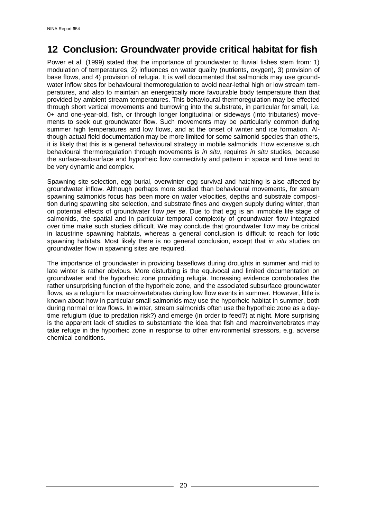### **12 Conclusion: Groundwater provide critical habitat for fish**

Power et al. (1999) stated that the importance of groundwater to fluvial fishes stem from: 1) modulation of temperatures, 2) influences on water quality (nutrients, oxygen), 3) provision of base flows, and 4) provision of refugia. It is well documented that salmonids may use groundwater inflow sites for behavioural thermoregulation to avoid near-lethal high or low stream temperatures, and also to maintain an energetically more favourable body temperature than that provided by ambient stream temperatures. This behavioural thermoregulation may be effected through short vertical movements and burrowing into the substrate, in particular for small, i.e. 0+ and one-year-old, fish, or through longer longitudinal or sideways (into tributaries) movements to seek out groundwater flow. Such movements may be particularly common during summer high temperatures and low flows, and at the onset of winter and ice formation. Although actual field documentation may be more limited for some salmonid species than others, it is likely that this is a general behavioural strategy in mobile salmonids. How extensive such behavioural thermoregulation through movements is *in situ*, requires *in situ* studies, because the surface-subsurface and hyporheic flow connectivity and pattern in space and time tend to be very dynamic and complex.

Spawning site selection, egg burial, overwinter egg survival and hatching is also affected by groundwater inflow. Although perhaps more studied than behavioural movements, for stream spawning salmonids focus has been more on water velocities, depths and substrate composition during spawning site selection, and substrate fines and oxygen supply during winter, than on potential effects of groundwater flow *per se*. Due to that egg is an immobile life stage of salmonids, the spatial and in particular temporal complexity of groundwater flow integrated over time make such studies difficult. We may conclude that groundwater flow may be critical in lacustrine spawning habitats, whereas a general conclusion is difficult to reach for lotic spawning habitats. Most likely there is no general conclusion, except that *in situ* studies on groundwater flow in spawning sites are required.

The importance of groundwater in providing baseflows during droughts in summer and mid to late winter is rather obvious. More disturbing is the equivocal and limited documentation on groundwater and the hyporheic zone providing refugia. Increasing evidence corroborates the rather unsurprising function of the hyporheic zone, and the associated subsurface groundwater flows, as a refugium for macroinvertebrates during low flow events in summer. However, little is known about how in particular small salmonids may use the hyporheic habitat in summer, both during normal or low flows. In winter, stream salmonids often use the hyporheic zone as a daytime refugium (due to predation risk?) and emerge (in order to feed?) at night. More surprising is the apparent lack of studies to substantiate the idea that fish and macroinvertebrates may take refuge in the hyporheic zone in response to other environmental stressors, e.g. adverse chemical conditions.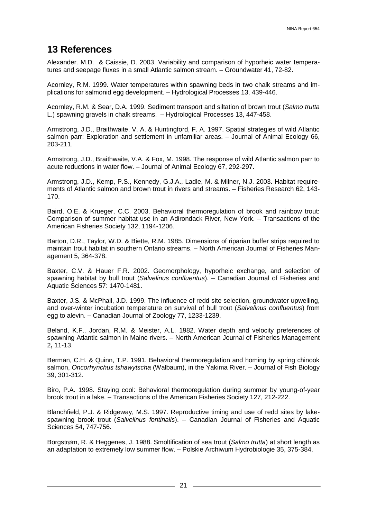#### **13 References**

Alexander. M.D. & Caissie, D. 2003. Variability and comparison of hyporheic water temperatures and seepage fluxes in a small Atlantic salmon stream. – Groundwater 41, 72-82.

Acornley, R.M. 1999. Water temperatures within spawning beds in two chalk streams and implications for salmonid egg development. – Hydrological Processes 13, 439-446.

Acornley, R.M. & Sear, D.A. 1999. Sediment transport and siltation of brown trout (*Salmo trutta* L.) spawning gravels in chalk streams. – Hydrological Processes 13, 447-458.

Armstrong, J.D., Braithwaite, V. A. & Huntingford, F. A. 1997. Spatial strategies of wild Atlantic salmon parr: Exploration and settlement in unfamiliar areas. – Journal of Animal Ecology 66, 203-211.

Armstrong, J.D., Braithwaite, V.A. & Fox, M. 1998. The response of wild Atlantic salmon parr to acute reductions in water flow. – Journal of Animal Ecology 67, 292-297.

Armstrong, J.D., Kemp, P.S., Kennedy, G.J.A., Ladle, M. & Milner, N.J. 2003. Habitat requirements of Atlantic salmon and brown trout in rivers and streams. – Fisheries Research 62, 143- 170.

Baird, O.E. & Krueger, C.C. 2003. Behavioral thermoregulation of brook and rainbow trout: Comparison of summer habitat use in an Adirondack River, New York. – Transactions of the American Fisheries Society 132, 1194-1206.

Barton, D.R., Taylor, W.D. & Biette, R.M. 1985. Dimensions of riparian buffer strips required to maintain trout habitat in southern Ontario streams. – North American Journal of Fisheries Management 5, 364-378.

Baxter, C.V. & Hauer F.R. 2002. Geomorphology, hyporheic exchange, and selection of spawning habitat by bull trout (*Salvelinus confluentus*). – Canadian Journal of Fisheries and Aquatic Sciences 57: 1470-1481.

Baxter, J.S. & McPhail, J.D. 1999. The influence of redd site selection, groundwater upwelling, and over-winter incubation temperature on survival of bull trout (*Salvelinus confluentus*) from egg to alevin. – Canadian Journal of Zoology 77, 1233-1239.

Beland, K.F., Jordan, R.M. & Meister, A.L. 1982. Water depth and velocity preferences of spawning Atlantic salmon in Maine rivers. – North American Journal of Fisheries Management 2**,** 11-13.

Berman, C.H. & Quinn, T.P. 1991. Behavioral thermoregulation and homing by spring chinook salmon, *Oncorhynchus tshawytscha* (Walbaum), in the Yakima River. – Journal of Fish Biology 39, 301-312.

Biro, P.A. 1998. Staying cool: Behavioral thermoregulation during summer by young-of-year brook trout in a lake. – Transactions of the American Fisheries Society 127, 212-222.

Blanchfield, P.J. & Ridgeway, M.S. 1997. Reproductive timing and use of redd sites by lakespawning brook trout (*Salvelinus fontinalis*). – Canadian Journal of Fisheries and Aquatic Sciences 54, 747-756.

Borgstrøm, R. & Heggenes, J. 1988. Smoltification of sea trout (*Salmo trutta*) at short length as an adaptation to extremely low summer flow. – Polskie Archiwum Hydrobiologie 35, 375-384.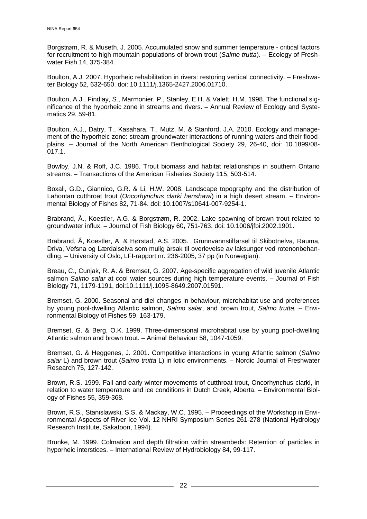Borgstrøm, R. & Museth, J. 2005. Accumulated snow and summer temperature - critical factors for recruitment to high mountain populations of brown trout (*Salmo trutta*). – Ecology of Freshwater Fish 14, 375-384.

Boulton, A.J. 2007. Hyporheic rehabilitation in rivers: restoring vertical connectivity. – Freshwater Biology 52, 632-650. doi: 10.1111/j.1365-2427.2006.01710.

Boulton, A.J., Findlay, S., Marmonier, P., Stanley, E.H. & Valett, H.M. 1998. The functional significance of the hyporheic zone in streams and rivers. – Annual Review of Ecology and Systematics 29, 59-81.

Boulton, A.J., Datry, T., Kasahara, T., Mutz, M. & Stanford, J.A. 2010. Ecology and management of the hyporheic zone: stream-groundwater interactions of running waters and their floodplains. – Journal of the North American Benthological Society 29, 26-40, doi: 10.1899/08- 017.1.

Bowlby, J.N. & Roff, J.C. 1986. Trout biomass and habitat relationships in southern Ontario streams. – Transactions of the American Fisheries Society 115, 503-514.

Boxall, G.D., Giannico, G.R. & Li, H.W. 2008. Landscape topography and the distribution of Lahontan cutthroat trout (*Oncorhynchus clarki henshawi*) in a high desert stream. – Environmental Biology of Fishes 82, 71-84. doi: 10.1007/s10641-007-9254-1.

Brabrand, Å., Koestler, A.G. & Borgstrøm, R. 2002. Lake spawning of brown trout related to groundwater influx. – Journal of Fish Biology 60, 751-763. doi: 10.1006/jfbi.2002.1901.

Brabrand, Å, Koestler, A. & Hørstad, A.S. 2005. Grunnvannstilførsel til Skibotnelva, Rauma, Driva, Vefsna og Lærdalselva som mulig årsak til overlevelse av laksunger ved rotenonbehandling. – University of Oslo, LFI-rapport nr. 236-2005, 37 pp (in Norwegian).

Breau, C., Cunjak, R. A. & Bremset, G. 2007. Age-specific aggregation of wild juvenile Atlantic salmon *Salmo salar* at cool water sources during high temperature events. – Journal of Fish Biology 71, 1179-1191, doi:10.1111/j.1095-8649.2007.01591.

Bremset, G. 2000. Seasonal and diel changes in behaviour, microhabitat use and preferences by young pool-dwelling Atlantic salmon, *Salmo salar*, and brown trout, *Salmo trutta.* – Environmental Biology of Fishes 59, 163-179.

Bremset, G. & Berg, O.K. 1999. Three-dimensional microhabitat use by young pool-dwelling Atlantic salmon and brown trout. – Animal Behaviour 58, 1047-1059.

Bremset, G. & Heggenes, J. 2001. Competitive interactions in young Atlantic salmon (*Salmo salar* L) and brown trout (*Salmo trutta* L) in lotic environments. – Nordic Journal of Freshwater Research 75, 127-142.

Brown, R.S. 1999. Fall and early winter movements of cutthroat trout, Oncorhynchus clarki, in relation to water temperature and ice conditions in Dutch Creek, Alberta. – Environmental Biology of Fishes 55, 359-368.

Brown, R.S., Stanislawski, S.S. & Mackay, W.C. 1995. – Proceedings of the Workshop in Environmental Aspects of River Ice Vol. 12 NHRI Symposium Series 261-278 (National Hydrology Research Institute, Sakatoon, 1994).

Brunke, M. 1999. Colmation and depth filtration within streambeds: Retention of particles in hyporheic interstices. – International Review of Hydrobiology 84, 99-117.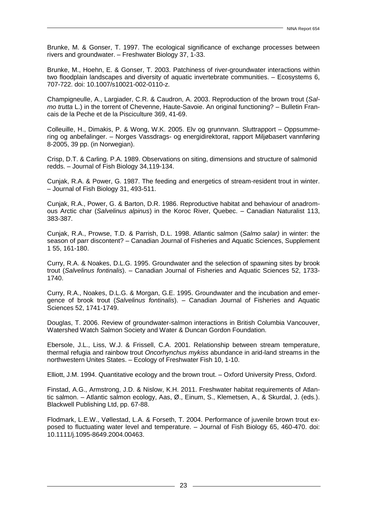Brunke, M. & Gonser, T. 1997. The ecological significance of exchange processes between rivers and groundwater. – Freshwater Biology 37, 1-33.

Brunke, M., Hoehn, E. & Gonser, T. 2003. Patchiness of river-groundwater interactions within two floodplain landscapes and diversity of aquatic invertebrate communities. – Ecosystems 6, 707-722. doi: 10.1007/s10021-002-0110-z.

Champigneulle, A., Largiader, C.R. & Caudron, A. 2003. Reproduction of the brown trout (*Salmo trutta* L.) in the torrent of Chevenne, Haute-Savoie. An original functioning? – Bulletin Francais de la Peche et de la Pisciculture 369, 41-69.

Colleuille, H., Dimakis, P. & Wong, W.K. 2005. Elv og grunnvann. Sluttrapport – Oppsummering og anbefalinger. – Norges Vassdrags- og energidirektorat, rapport Miljøbasert vannføring 8-2005, 39 pp. (in Norwegian).

Crisp, D.T. & Carling. P.A. 1989. Observations on siting, dimensions and structure of salmonid redds. – Journal of Fish Biology 34,119-134.

Cunjak, R.A. & Power, G. 1987. The feeding and energetics of stream-resident trout in winter. – Journal of Fish Biology 31, 493-511.

Cunjak, R.A., Power, G. & Barton, D.R. 1986. Reproductive habitat and behaviour of anadromous Arctic char (*Salvelinus alpinus*) in the Koroc River, Quebec. – Canadian Naturalist 113, 383-387.

Cunjak, R.A., Prowse, T.D. & Parrish, D.L. 1998. Atlantic salmon (*Salmo salar)* in winter: the season of parr discontent? – Canadian Journal of Fisheries and Aquatic Sciences, Supplement 1 55, 161-180.

Curry, R.A. & Noakes, D.L.G. 1995. Groundwater and the selection of spawning sites by brook trout (*Salvelinus fontinalis*). – Canadian Journal of Fisheries and Aquatic Sciences 52, 1733- 1740.

Curry, R.A., Noakes, D.L.G. & Morgan, G.E. 1995. Groundwater and the incubation and emergence of brook trout (*Salvelinus fontinalis*). – Canadian Journal of Fisheries and Aquatic Sciences 52, 1741-1749.

Douglas, T. 2006. Review of groundwater-salmon interactions in British Columbia Vancouver, Watershed Watch Salmon Society and Water & Duncan Gordon Foundation.

Ebersole, J.L., Liss, W.J. & Frissell, C.A. 2001. Relationship between stream temperature, thermal refugia and rainbow trout *Oncorhynchus mykiss* abundance in arid-land streams in the northwestern Unites States. – Ecology of Freshwater Fish 10, 1-10.

Elliott, J.M. 1994. Quantitative ecology and the brown trout. – Oxford University Press, Oxford.

Finstad, A.G., Armstrong, J.D. & Nislow, K.H. 2011. Freshwater habitat requirements of Atlantic salmon. – Atlantic salmon ecology, Aas, Ø., Einum, S., Klemetsen, A., & Skurdal, J. (eds.). Blackwell Publishing Ltd, pp. 67-88.

Flodmark, L.E.W., Vøllestad, L.A. & Forseth, T. 2004. Performance of juvenile brown trout exposed to fluctuating water level and temperature. – Journal of Fish Biology 65, 460-470. doi: 10.1111/j.1095-8649.2004.00463.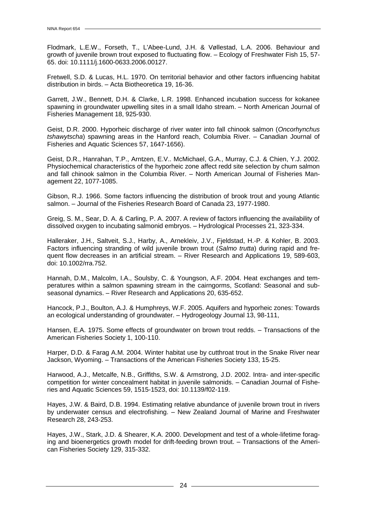Flodmark, L.E.W., Forseth, T., L'Abee-Lund, J.H. & Vøllestad, L.A. 2006. Behaviour and growth of juvenile brown trout exposed to fluctuating flow. – Ecology of Freshwater Fish 15, 57- 65. doi: 10.1111/j.1600-0633.2006.00127.

Fretwell, S.D. & Lucas, H.L. 1970. On territorial behavior and other factors influencing habitat distribution in birds. – Acta Biotheoretica 19, 16-36.

Garrett, J.W., Bennett, D.H. & Clarke, L.R. 1998. Enhanced incubation success for kokanee spawning in groundwater upwelling sites in a small Idaho stream. – North American Journal of Fisheries Management 18, 925-930.

Geist, D.R. 2000. Hyporheic discharge of river water into fall chinook salmon (*Oncorhynchus tshawytscha*) spawning areas in the Hanford reach, Columbia River. – Canadian Journal of Fisheries and Aquatic Sciences 57, 1647-1656).

Geist, D.R., Hanrahan, T.P., Arntzen, E.V.. McMichael, G.A., Murray, C.J. & Chien, Y.J. 2002. Physiochemical characteristics of the hyporheic zone affect redd site selection by chum salmon and fall chinook salmon in the Columbia River. – North American Journal of Fisheries Management 22, 1077-1085.

Gibson, R.J. 1966. Some factors influencing the distribution of brook trout and young Atlantic salmon. – Journal of the Fisheries Research Board of Canada 23, 1977-1980.

Greig, S. M., Sear, D. A. & Carling, P. A. 2007. A review of factors influencing the availability of dissolved oxygen to incubating salmonid embryos. – Hydrological Processes 21, 323-334.

Halleraker, J.H., Saltveit, S.J., Harby, A., Arnekleiv, J.V., Fjeldstad, H.-P. & Kohler, B. 2003. Factors influencing stranding of wild juvenile brown trout (*Salmo trutta*) during rapid and frequent flow decreases in an artificial stream. – River Research and Applications 19, 589-603, doi: 10.1002/rra.752.

Hannah, D.M., Malcolm, I.A., Soulsby, C. & Youngson, A.F. 2004. Heat exchanges and temperatures within a salmon spawning stream in the cairngorms, Scotland: Seasonal and subseasonal dynamics. – River Research and Applications 20, 635-652.

Hancock, P.J., Boulton, A.J. & Humphreys, W.F. 2005. Aquifers and hyporheic zones: Towards an ecological understanding of groundwater. – Hydrogeology Journal 13, 98-111,

Hansen, E.A. 1975. Some effects of groundwater on brown trout redds. – Transactions of the American Fisheries Society 1, 100-110.

Harper, D.D. & Farag A.M. 2004. Winter habitat use by cutthroat trout in the Snake River near Jackson, Wyoming. – Transactions of the American Fisheries Society 133, 15-25.

Harwood, A.J., Metcalfe, N.B., Griffiths, S.W. & Armstrong, J.D. 2002. Intra- and inter-specific competition for winter concealment habitat in juvenile salmonids. – Canadian Journal of Fisheries and Aquatic Sciences 59, 1515-1523, doi: 10.1139/f02-119.

Hayes, J.W. & Baird, D.B. 1994. Estimating relative abundance of juvenile brown trout in rivers by underwater census and electrofishing. – New Zealand Journal of Marine and Freshwater Research 28, 243-253.

Hayes, J.W., Stark, J.D. & Shearer, K.A. 2000. Development and test of a whole-lifetime foraging and bioenergetics growth model for drift-feeding brown trout. – Transactions of the American Fisheries Society 129, 315-332.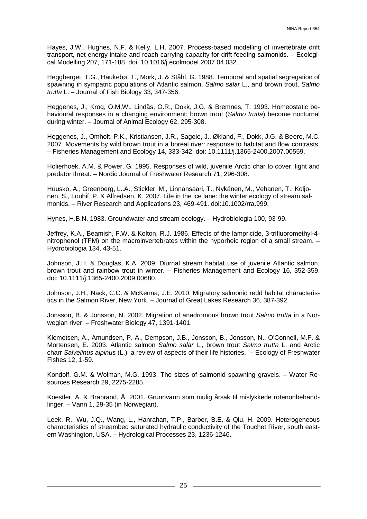Hayes, J.W., Hughes, N.F. & Kelly, L.H. 2007. Process-based modelling of invertebrate drift transport, net energy intake and reach carrying capacity for drift-feeding salmonids. – Ecological Modelling 207, 171-188. doi: 10.1016/j.ecolmodel.2007.04.032.

Heggberget, T.G., Haukebø, T., Mork, J. & Ståhl, G. 1988. Temporal and spatial segregation of spawning in sympatric populations of Atlantic salmon, *Salmo salar* L., and brown trout, *Salmo trutta* L. – Journal of Fish Biology 33, 347-356.

Heggenes, J., Krog, O.M.W., Lindås, O.R., Dokk, J.G. & Bremnes, T. 1993. Homeostatic behavioural responses in a changing environment: brown trout (*Salmo trutta*) become nocturnal during winter. – Journal of Animal Ecology 62, 295-308.

Heggenes, J., Omholt, P.K., Kristiansen, J.R., Sageie, J., Økland, F., Dokk, J.G. & Beere, M.C. 2007. Movements by wild brown trout in a boreal river: response to habitat and flow contrasts. – Fisheries Management and Ecology 14, 333-342. doi: 10.1111/j.1365-2400.2007.00559.

Holierhoek, A.M. & Power, G. 1995. Responses of wild, juvenile Arctic char to cover, light and predator threat. – Nordic Journal of Freshwater Research 71, 296-308.

Huusko, A., Greenberg, L..A., Stickler, M., Linnansaari, T., Nykänen, M., Vehanen, T., Koljonen, S., Louhif, P. & Alfredsen, K. 2007. Life in the ice lane: the winter ecology of stream salmonids. – River Research and Applications 23, 469-491. doi:10.1002/rra.999.

Hynes, H.B.N. 1983. Groundwater and stream ecology. – Hydrobiologia 100, 93-99.

Jeffrey, K.A., Beamish, F.W. & Kolton, R.J. 1986. Effects of the lampricide, 3-trifluoromethyl-4 nitrophenol (TFM) on the macroinvertebrates within the hyporheic region of a small stream. – Hydrobiologia 134, 43-51.

Johnson, J.H. & Douglas, K.A. 2009. Diurnal stream habitat use of juvenile Atlantic salmon, brown trout and rainbow trout in winter. – Fisheries Management and Ecology 16, 352-359. doi: 10.1111/j.1365-2400.2009.00680.

Johnson, J.H., Nack, C.C. & McKenna, J.E. 2010. Migratory salmonid redd habitat characteristics in the Salmon River, New York. – Journal of Great Lakes Research 36, 387-392.

Jonsson, B. & Jonsson, N. 2002. Migration of anadromous brown trout *Salmo trutta* in a Norwegian river. – Freshwater Biology 47, 1391-1401.

Klemetsen, A., Amundsen, P.-A., Dempson, J.B., Jonsson, B., Jonsson, N., O'Connell, M.F. & Mortensen, E. 2003. Atlantic salmon *Salmo salar* L., brown trout *Salmo trutta* L. and Arctic charr *Salvelinus alpinus* (L.): a review of aspects of their life histories. – Ecology of Freshwater Fishes 12, 1-59.

Kondolf, G.M. & Wolman, M.G. 1993. The sizes of salmonid spawning gravels. – Water Resources Research 29, 2275-2285.

Koestler, A. & Brabrand, Å. 2001. Grunnvann som mulig årsak til mislykkede rotenonbehandlinger. – Vann 1, 29-35 (in Norwegian).

Leek, R., Wu, J.Q., Wang, L., Hanrahan, T.P., Barber, B.E. & Qiu, H. 2009. Heterogeneous characteristics of streambed saturated hydraulic conductivity of the Touchet River, south eastern Washington, USA. – Hydrological Processes 23, 1236-1246.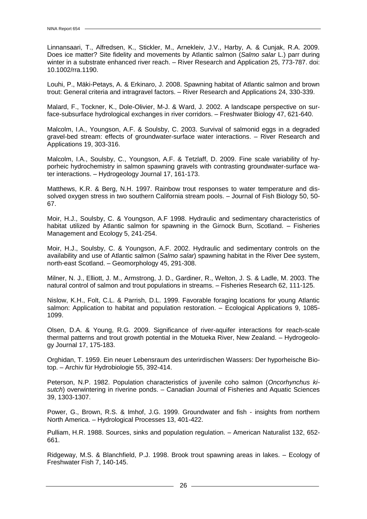Linnansaari, T., Alfredsen, K., Stickler, M., Arnekleiv, J.V., Harby, A. & Cunjak, R.A. 2009. Does ice matter? Site fidelity and movements by Atlantic salmon (*Salmo salar* L.) parr during winter in a substrate enhanced river reach. – River Research and Application 25, 773-787. doi: 10.1002/rra.1190.

Louhi, P., Mäki-Petays, A. & Erkinaro, J. 2008. Spawning habitat of Atlantic salmon and brown trout: General criteria and intragravel factors. – River Research and Applications 24, 330-339.

Malard, F., Tockner, K., Dole-Olivier, M-J. & Ward, J. 2002. A landscape perspective on surface-subsurface hydrological exchanges in river corridors. – Freshwater Biology 47, 621-640.

Malcolm, I.A., Youngson, A.F. & Soulsby, C. 2003. Survival of salmonid eggs in a degraded gravel-bed stream: effects of groundwater-surface water interactions. – River Research and Applications 19, 303-316.

Malcolm, I.A., Soulsby, C., Youngson, A.F. & Tetzlaff, D. 2009. Fine scale variability of hyporheic hydrochemistry in salmon spawning gravels with contrasting groundwater-surface water interactions. – Hydrogeology Journal 17, 161-173.

Matthews, K.R. & Berg, N.H. 1997. Rainbow trout responses to water temperature and dissolved oxygen stress in two southern California stream pools. – Journal of Fish Biology 50, 50- 67.

Moir, H.J., Soulsby, C. & Youngson, A.F 1998. Hydraulic and sedimentary characteristics of habitat utilized by Atlantic salmon for spawning in the Girnock Burn, Scotland. – Fisheries Management and Ecology 5, 241-254.

Moir, H.J., Soulsby, C. & Youngson, A.F. 2002. Hydraulic and sedimentary controls on the availability and use of Atlantic salmon (*Salmo salar*) spawning habitat in the River Dee system, north-east Scotland. – Geomorphology 45, 291-308.

Milner, N. J., Elliott, J. M., Armstrong, J. D., Gardiner, R., Welton, J. S. & Ladle, M. 2003. The natural control of salmon and trout populations in streams. – Fisheries Research 62, 111-125.

Nislow, K.H., Folt, C.L. & Parrish, D.L. 1999. Favorable foraging locations for young Atlantic salmon: Application to habitat and population restoration. – Ecological Applications 9, 1085- 1099.

Olsen, D.A. & Young, R.G. 2009. Significance of river-aquifer interactions for reach-scale thermal patterns and trout growth potential in the Motueka River, New Zealand. – Hydrogeology Journal 17, 175-183.

Orghidan, T. 1959. Ein neuer Lebensraum des unterirdischen Wassers: Der hyporheische Biotop. – Archiv für Hydrobiologie 55, 392-414.

Peterson, N.P. 1982. Population characteristics of juvenile coho salmon (*Oncorhynchus kisutch*) overwintering in riverine ponds. – Canadian Journal of Fisheries and Aquatic Sciences 39, 1303-1307.

Power, G., Brown, R.S. & Imhof, J.G. 1999. Groundwater and fish - insights from northern North America. – Hydrological Processes 13, 401-422.

Pulliam, H.R. 1988. Sources, sinks and population regulation. – American Naturalist 132, 652- 661.

Ridgeway, M.S. & Blanchfield, P.J. 1998. Brook trout spawning areas in lakes. – Ecology of Freshwater Fish 7, 140-145.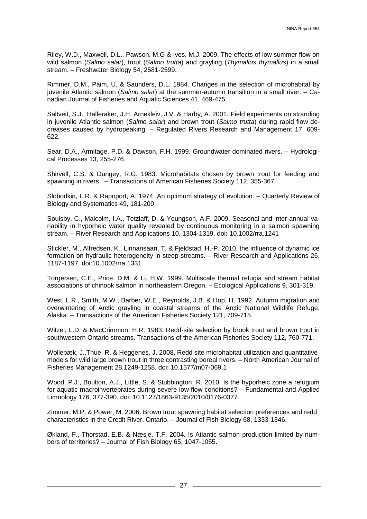Riley, W.D., Maxwell, D.L., Pawson, M.G & Ives, M.J. 2009. The effects of low summer flow on wild salmon (*Salmo salar*), trout (*Salmo trutta*) and grayling (*Thymallus thymallus*) in a small stream. – Freshwater Biology 54, 2581-2599.

Rimmer, D.M., Paim, U. & Saunders, D.L. 1984. Changes in the selection of microhabitat by juvenile Atlantic salmon (*Salmo salar*) at the summer-autumn transition in a small river. – Canadian Journal of Fisheries and Aquatic Sciences 41, 469-475.

Saltveit, S.J., Halleraker, J.H, Arnekleiv, J.V. & Harby, A. 2001. Field experiments on stranding in juvenile Atlantic salmon (*Salmo salar*) and brown trout (*Salmo trutta*) during rapid flow decreases caused by hydropeaking. – Regulated Rivers Research and Management 17, 609- 622.

Sear, D.A., Armitage, P.D. & Dawson, F.H. 1999. Groundwater dominated rivers. – Hydrological Processes 13, 255-276.

Shirvell, C.S. & Dungey, R.G. 1983. Microhabitats chosen by brown trout for feeding and spawning in rivers. – Transactions of American Fisheries Society 112, 355-367.

Slobodkin, L.R. & Rapoport, A. 1974. An optimum strategy of evolution. – Quarterly Review of Biology and Systematics 49, 181-200.

Soulsby, C., Malcolm, I.A., Tetzlaff, D. & Youngson, A.F. 2009. Seasonal and inter-annual variability in hyporheic water quality revealed by continuous monitoring in a salmon spawning stream. – River Research and Applications 10, 1304-1319. doi**:** 10.1002/rra.1241

Stickler, M., Alfredsen, K., Linnansaari, T. & Fjeldstad, H.-P. 2010. the influence of dynamic ice formation on hydraulic heterogeneity in steep streams. – River Research and Applications 26, 1187-1197. doi:10.1002/rra.1331.

Torgersen, C.E., Price, D.M. & Li, H.W. 1999. Multiscale thermal refugia and stream habitat associations of chinook salmon in northeastern Oregon. – Ecological Applications 9, 301-319.

West, L.R., Smith, M.W., Barber, W.E., Reynolds, J.B. & Hop, H. 1992. Autumn migration and overwintering of Arctic grayling in coastal streams of the Arctic National Wildlife Refuge, Alaska. – Transactions of the American Fisheries Society 121, 709-715.

Witzel, L.D. & MacCrimmon, H.R. 1983. Redd-site selection by brook trout and brown trout in southwestern Ontario streams. Transactions of the American Fisheries Society 112, 760-771.

Wollebæk, J.,Thue, R. & Heggenes, J. 2008. Redd site microhabitat utilization and quantitative models for wild large brown trout in three contrasting boreal rivers. – North American Journal of Fisheries Management 28,1249-1258. doi: 10.1577/m07-069.1

Wood, P.J., Boulton, A.J., Little, S. & Stubbington, R. 2010. Is the hyporheic zone a refugium for aquatic macroinvertebrates during severe low flow conditions? – Fundamental and Applied Limnology 176, 377-390. doi: 10.1127/1863-9135/2010/0176-0377.

Zimmer, M.P. & Power, M. 2006. Brown trout spawning habitat selection preferences and redd characteristics in the Credit River, Ontario. – Journal of Fish Biology 68, 1333-1346.

Økland, F., Thorstad, E.B. & Næsje, T.F. 2004. Is Atlantic salmon production limited by numbers of territories? – Journal of Fish Biology 65, 1047-1055.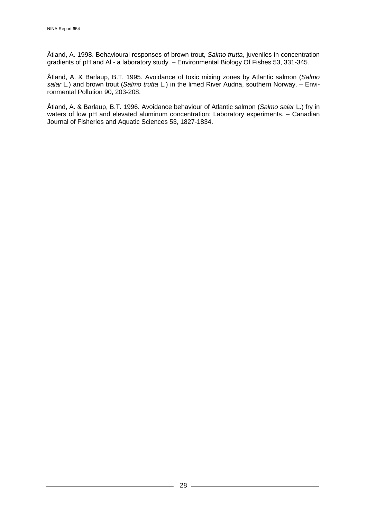Åtland, A. 1998. Behavioural responses of brown trout, *Salmo trutta*, juveniles in concentration gradients of pH and Al - a laboratory study. – Environmental Biology Of Fishes 53, 331-345.

Åtland, A. & Barlaup, B.T. 1995. Avoidance of toxic mixing zones by Atlantic salmon (*Salmo salar* L.) and brown trout (*Salmo trutta* L.) in the limed River Audna, southern Norway. – Environmental Pollution 90, 203-208.

Åtland, A. & Barlaup, B.T. 1996. Avoidance behaviour of Atlantic salmon (*Salmo salar* L.) fry in waters of low pH and elevated aluminum concentration: Laboratory experiments. - Canadian Journal of Fisheries and Aquatic Sciences 53, 1827-1834.